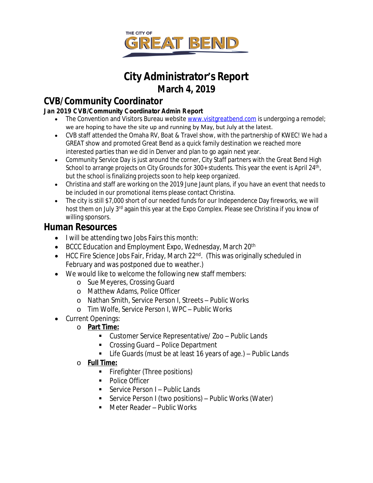

# **City Administrator's Report March 4, 2019**

# **CVB/Community Coordinator**

### **Jan 2019 CVB/Community Coordinator Admin Report**

- The Convention and Visitors Bureau website [www.visitgreatbend.com](http://www.visitgreatbend.com) is undergoing a remodel; we are hoping to have the site up and running by May, but July at the latest.
- CVB staff attended the Omaha RV, Boat & Travel show, with the partnership of KWEC! We had a GREAT show and promoted Great Bend as a quick family destination we reached more interested parties than we did in Denver and plan to go again next year.
- Community Service Day is just around the corner, City Staff partners with the Great Bend High School to arrange projects on City Grounds for 300+ students. This year the event is April 24<sup>th</sup>, but the school is finalizing projects soon to help keep organized.
- Christina and staff are working on the 2019 June Jaunt plans, if you have an event that needs to be included in our promotional items please contact Christina.
- The city is still \$7,000 short of our needed funds for our Independence Day fireworks, we will host them on July 3<sup>rd</sup> again this year at the Expo Complex. Please see Christina if you know of willing sponsors.

## **Human Resources**

- I will be attending two Jobs Fairs this month:
- $\bullet$  BCCC Education and Employment Expo, Wednesday, March 20<sup>th</sup>
- HCC Fire Science Jobs Fair, Friday, March 22<sup>nd</sup>. (This was originally scheduled in February and was postponed due to weather.)
- We would like to welcome the following new staff members:
	- o Sue Meyeres, Crossing Guard
	- o Matthew Adams, Police Officer
	- o Nathan Smith, Service Person I, Streets Public Works
	- o Tim Wolfe, Service Person I, WPC Public Works
- Current Openings:
	- o **Part Time:**
		- Customer Service Representative/ Zoo Public Lands
		- Crossing Guard Police Department
		- Life Guards (must be at least 16 years of age.) Public Lands
	- o **Full Time:**
		- Firefighter (Three positions)
		- Police Officer
		- Service Person I Public Lands
		- Service Person I (two positions) Public Works (Water)
		- Meter Reader Public Works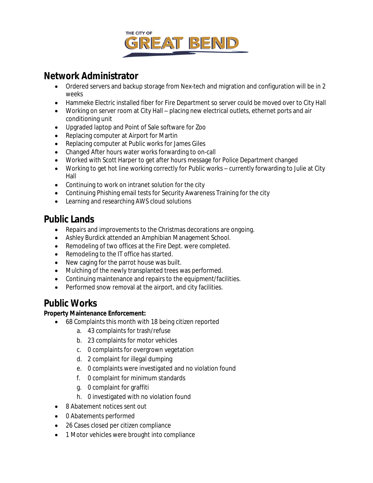

## **Network Administrator**

- Ordered servers and backup storage from Nex-tech and migration and configuration will be in 2 weeks
- Hammeke Electric installed fiber for Fire Department so server could be moved over to City Hall
- Working on server room at City Hall placing new electrical outlets, ethernet ports and air conditioning unit
- Upgraded laptop and Point of Sale software for Zoo
- Replacing computer at Airport for Martin
- Replacing computer at Public works for James Giles
- Changed After hours water works forwarding to on-call
- Worked with Scott Harper to get after hours message for Police Department changed
- Working to get hot line working correctly for Public works currently forwarding to Julie at City Hall
- Continuing to work on intranet solution for the city
- Continuing Phishing email tests for Security Awareness Training for the city
- Learning and researching AWS cloud solutions

## **Public Lands**

- Repairs and improvements to the Christmas decorations are ongoing.
- Ashley Burdick attended an Amphibian Management School.
- Remodeling of two offices at the Fire Dept. were completed.
- Remodeling to the IT office has started.
- New caging for the parrot house was built.
- Mulching of the newly transplanted trees was performed.
- Continuing maintenance and repairs to the equipment/facilities.
- Performed snow removal at the airport, and city facilities.

### **Public Works**

#### **Property Maintenance Enforcement:**

- 68 Complaints this month with 18 being citizen reported
	- a. 43 complaints for trash/refuse
	- b. 23 complaints for motor vehicles
	- c. 0 complaints for overgrown vegetation
	- d. 2 complaint for illegal dumping
	- e. 0 complaints were investigated and no violation found
	- f. 0 complaint for minimum standards
	- g. 0 complaint for graffiti
	- h. 0 investigated with no violation found
- 8 Abatement notices sent out
- 0 Abatements performed
- 26 Cases closed per citizen compliance
- 1 Motor vehicles were brought into compliance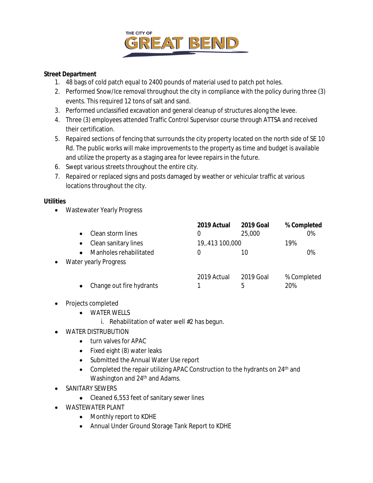

#### **Street Department**

- 1. 48 bags of cold patch equal to 2400 pounds of material used to patch pot holes.
- 2. Performed Snow/Ice removal throughout the city in compliance with the policy during three (3) events. This required 12 tons of salt and sand.
- 3. Performed unclassified excavation and general cleanup of structures along the levee.
- 4. Three (3) employees attended Traffic Control Supervisor course through ATTSA and received their certification.
- 5. Repaired sections of fencing that surrounds the city property located on the north side of SE 10 Rd. The public works will make improvements to the property as time and budget is available and utilize the property as a staging area for levee repairs in the future.
- 6. Swept various streets throughout the entire city.
- 7. Repaired or replaced signs and posts damaged by weather or vehicular traffic at various locations throughout the city.

#### **Utilities**

Wastewater Yearly Progress

|           |                          | 2019 Actual    | <b>2019 Goal</b> | % Completed |
|-----------|--------------------------|----------------|------------------|-------------|
|           | Clean storm lines        | O              | 25,000           | 0%          |
|           | Clean sanitary lines     | 19,413 100,000 |                  | 19%         |
|           | Manholes rehabilitated   | 0              | 10               | 0%          |
| $\bullet$ | Water yearly Progress    |                |                  |             |
|           |                          | 2019 Actual    | 2019 Goal        | % Completed |
|           | Change out fire hydrants |                | 5                | 20%         |

- Projects completed
	- WATER WELLS
		- i. Rehabilitation of water well #2 has begun.
- WATER DISTRUBUTION
	- turn valves for APAC
	- Fixed eight (8) water leaks
	- Submitted the Annual Water Use report
	- Completed the repair utilizing APAC Construction to the hydrants on 24<sup>th</sup> and Washington and 24<sup>th</sup> and Adams.
- SANITARY SEWERS
	- Cleaned 6,553 feet of sanitary sewer lines
- WASTEWATER PLANT
	- Monthly report to KDHE
	- Annual Under Ground Storage Tank Report to KDHE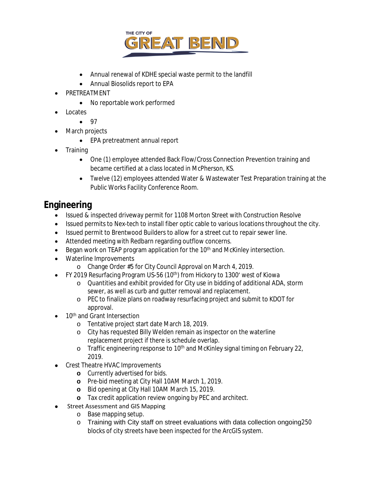

- Annual renewal of KDHE special waste permit to the landfill
- Annual Biosolids report to EPA
- PRETREATMENT
	- No reportable work performed
- Locates
	- $97$
- March projects
	- EPA pretreatment annual report
- Training
	- One (1) employee attended Back Flow/Cross Connection Prevention training and became certified at a class located in McPherson, KS.
	- Twelve (12) employees attended Water & Wastewater Test Preparation training at the Public Works Facility Conference Room.

## **Engineering**

- Issued & inspected driveway permit for 1108 Morton Street with Construction Resolve
- Issued permits to Nex-tech to install fiber optic cable to various locations throughout the city.
- Issued permit to Brentwood Builders to allow for a street cut to repair sewer line.
- Attended meeting with Redbarn regarding outflow concerns.
- Began work on TEAP program application for the  $10<sup>th</sup>$  and McKinley intersection.
- Waterline Improvements
	- o Change Order #5 for City Council Approval on March 4, 2019.
- FY 2019 Resurfacing Program US-56 (10<sup>th</sup>) from Hickory to 1300' west of Kiowa
	- o Quantities and exhibit provided for City use in bidding of additional ADA, storm sewer, as well as curb and gutter removal and replacement.
	- o PEC to finalize plans on roadway resurfacing project and submit to KDOT for approval.
- 10<sup>th</sup> and Grant Intersection
	- o Tentative project start date March 18, 2019.
	- o City has requested Billy Welden remain as inspector on the waterline replacement project if there is schedule overlap.
	- o Traffic engineering response to 10<sup>th</sup> and McKinley signal timing on February 22, 2019.
- Crest Theatre HVAC Improvements
	- **o** Currently advertised for bids.
	- **o** Pre-bid meeting at City Hall 10AM March 1, 2019.
	- **o** Bid opening at City Hall 10AM March 15, 2019.
	- **o** Tax credit application review ongoing by PEC and architect.
- Street Assessment and GIS Mapping
	- o Base mapping setup.
	- o Training with City staff on street evaluations with data collection ongoing250 blocks of city streets have been inspected for the ArcGIS system.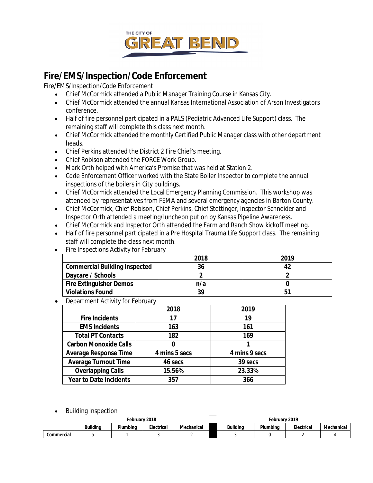

# **Fire/EMS/Inspection/Code Enforcement**

Fire/EMS/Inspection/Code Enforcement

- Chief McCormick attended a Public Manager Training Course in Kansas City.
- Chief McCormick attended the annual Kansas International Association of Arson Investigators conference.
- Half of fire personnel participated in a PALS (Pediatric Advanced Life Support) class. The remaining staff will complete this class next month.
- Chief McCormick attended the monthly Certified Public Manager class with other department heads.
- Chief Perkins attended the District 2 Fire Chief's meeting.
- Chief Robison attended the FORCE Work Group.
- Mark Orth helped with America's Promise that was held at Station 2.
- Code Enforcement Officer worked with the State Boiler Inspector to complete the annual inspections of the boilers in City buildings.
- Chief McCormick attended the Local Emergency Planning Commission. This workshop was attended by representatives from FEMA and several emergency agencies in Barton County.
- Chief McCormick, Chief Robison, Chief Perkins, Chief Stettinger, Inspector Schneider and Inspector Orth attended a meeting/luncheon put on by Kansas Pipeline Awareness.
- Chief McCormick and Inspector Orth attended the Farm and Ranch Show kickoff meeting.
- Half of fire personnel participated in a Pre Hospital Trauma Life Support class. The remaining staff will complete the class next month.
- Fire Inspections Activity for February

|                                      | 2018 | 2019 |  |
|--------------------------------------|------|------|--|
| <b>Commercial Building Inspected</b> | 36   |      |  |
| Daycare / Schools                    |      |      |  |
| <b>Fire Extinguisher Demos</b>       | n/a  |      |  |
| <b>Violations Found</b>              | 39   |      |  |
|                                      |      |      |  |

Department Activity for February

|                               | 2018          | 2019          |
|-------------------------------|---------------|---------------|
| <b>Fire Incidents</b>         | 17            | 19            |
| <b>EMS Incidents</b>          | 163           | 161           |
| <b>Total PT Contacts</b>      | 182           | 169           |
| <b>Carbon Monoxide Calls</b>  |               |               |
| <b>Average Response Time</b>  | 4 mins 5 secs | 4 mins 9 secs |
| <b>Average Turnout Time</b>   | 46 secs       | 39 secs       |
| <b>Overlapping Calls</b>      | 15.56%        | 23.33%        |
| <b>Year to Date Incidents</b> | 357           | 366           |

Building Inspection

|            | Februarv 2018 |          |            | February 2019 |                 |          |            |            |
|------------|---------------|----------|------------|---------------|-----------------|----------|------------|------------|
|            | Buildina      | Plumbina | Electrical | Mechanical    | <b>Building</b> | Plumbina | Electrical | Mechanical |
| Commercial |               |          |            |               |                 |          |            |            |